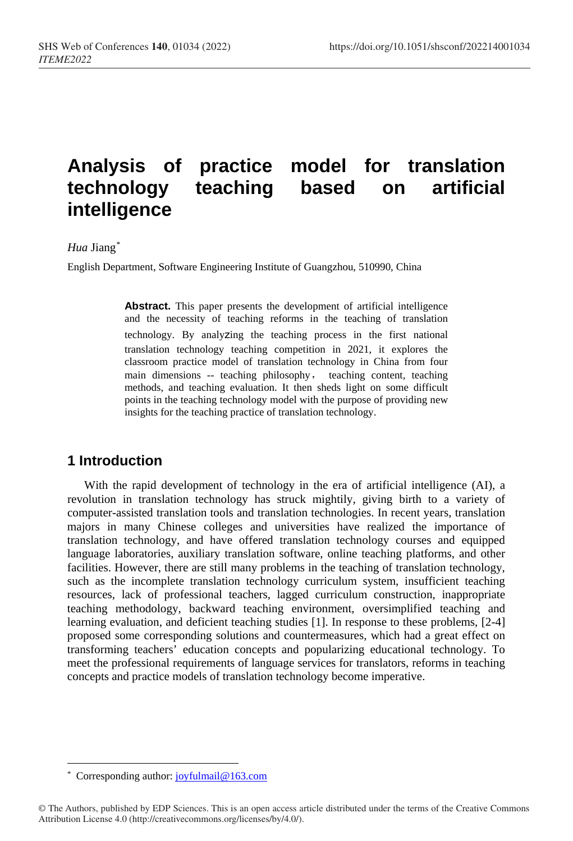# **Analysis of practice model for translation technology teaching based on artificial intelligence**

#### *Hua* Jiang[\\*](#page-0-0)

English Department, Software Engineering Institute of Guangzhou, 510990, China

**Abstract.** This paper presents the development of artificial intelligence and the necessity of teaching reforms in the teaching of translation technology. By analyzing the teaching process in the first national translation technology teaching competition in 2021, it explores the classroom practice model of translation technology in China from four main dimensions -- teaching philosophy, teaching content, teaching methods, and teaching evaluation. It then sheds light on some difficult points in the teaching technology model with the purpose of providing new insights for the teaching practice of translation technology.

# **1 Introduction**

With the rapid development of technology in the era of artificial intelligence (AI), a revolution in translation technology has struck mightily, giving birth to a variety of computer-assisted translation tools and translation technologies. In recent years, translation majors in many Chinese colleges and universities have realized the importance of translation technology, and have offered translation technology courses and equipped language laboratories, auxiliary translation software, online teaching platforms, and other facilities. However, there are still many problems in the teaching of translation technology, such as the incomplete translation technology curriculum system, insufficient teaching resources, lack of professional teachers, lagged curriculum construction, inappropriate teaching methodology, backward teaching environment, oversimplified teaching and learning evaluation, and deficient teaching studies [1]. In response to these problems, [2-4] proposed some corresponding solutions and countermeasures, which had a great effect on transforming teachers' education concepts and popularizing educational technology. To meet the professional requirements of language services for translators, reforms in teaching concepts and practice models of translation technology become imperative.

<span id="page-0-0"></span> $\overline{a}$ \* Corresponding author[: joyfulmail@163.com](mailto:joyfulmail@163.com)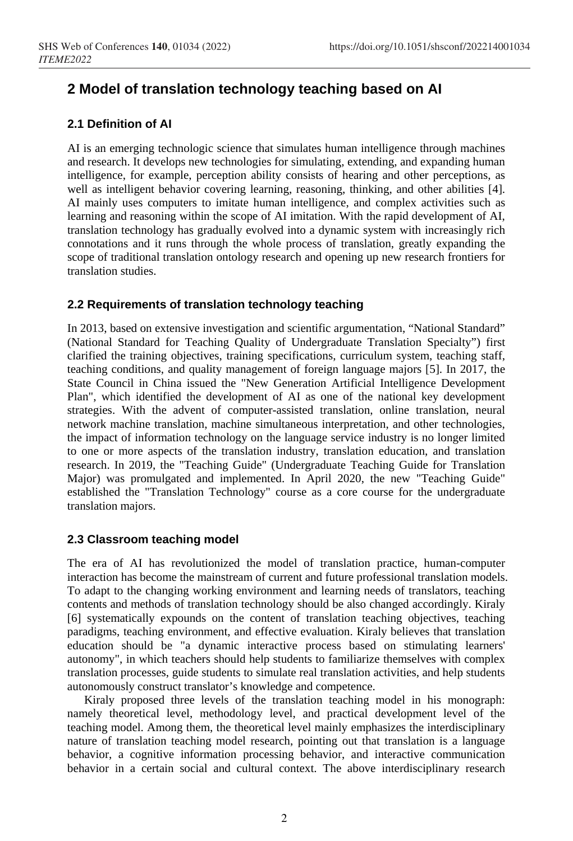# **2 Model of translation technology teaching based on AI**

## **2.1 Definition of AI**

AI is an emerging technologic science that simulates human intelligence through machines and research. It develops new technologies for simulating, extending, and expanding human intelligence, for example, perception ability consists of hearing and other perceptions, as well as intelligent behavior covering learning, reasoning, thinking, and other abilities [4]. AI mainly uses computers to imitate human intelligence, and complex activities such as learning and reasoning within the scope of AI imitation. With the rapid development of AI, translation technology has gradually evolved into a dynamic system with increasingly rich connotations and it runs through the whole process of translation, greatly expanding the scope of traditional translation ontology research and opening up new research frontiers for translation studies.

#### **2.2 Requirements of translation technology teaching**

In 2013, based on extensive investigation and scientific argumentation, "National Standard" (National Standard for Teaching Quality of Undergraduate Translation Specialty") first clarified the training objectives, training specifications, curriculum system, teaching staff, teaching conditions, and quality management of foreign language majors [5]. In 2017, the State Council in China issued the "New Generation Artificial Intelligence Development Plan", which identified the development of AI as one of the national key development strategies. With the advent of computer-assisted translation, online translation, neural network machine translation, machine simultaneous interpretation, and other technologies, the impact of information technology on the language service industry is no longer limited to one or more aspects of the translation industry, translation education, and translation research. In 2019, the "Teaching Guide" (Undergraduate Teaching Guide for Translation Major) was promulgated and implemented. In April 2020, the new "Teaching Guide" established the "Translation Technology" course as a core course for the undergraduate translation majors.

## **2.3 Classroom teaching model**

The era of AI has revolutionized the model of translation practice, human-computer interaction has become the mainstream of current and future professional translation models. To adapt to the changing working environment and learning needs of translators, teaching contents and methods of translation technology should be also changed accordingly. Kiraly [6] systematically expounds on the content of translation teaching objectives, teaching paradigms, teaching environment, and effective evaluation. Kiraly believes that translation education should be "a dynamic interactive process based on stimulating learners' autonomy", in which teachers should help students to familiarize themselves with complex translation processes, guide students to simulate real translation activities, and help students autonomously construct translator's knowledge and competence.

Kiraly proposed three levels of the translation teaching model in his monograph: namely theoretical level, methodology level, and practical development level of the teaching model. Among them, the theoretical level mainly emphasizes the interdisciplinary nature of translation teaching model research, pointing out that translation is a language behavior, a cognitive information processing behavior, and interactive communication behavior in a certain social and cultural context. The above interdisciplinary research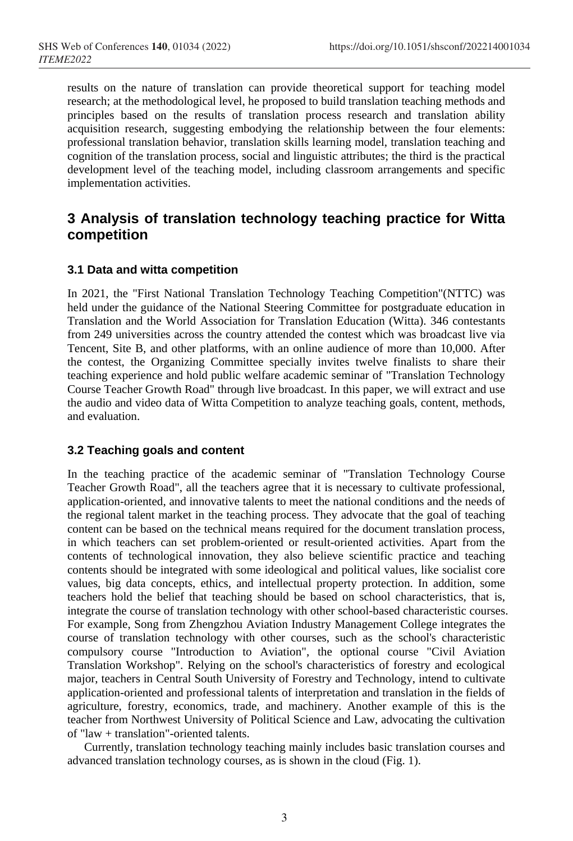results on the nature of translation can provide theoretical support for teaching model research; at the methodological level, he proposed to build translation teaching methods and principles based on the results of translation process research and translation ability acquisition research, suggesting embodying the relationship between the four elements: professional translation behavior, translation skills learning model, translation teaching and cognition of the translation process, social and linguistic attributes; the third is the practical development level of the teaching model, including classroom arrangements and specific implementation activities.

# **3 Analysis of translation technology teaching practice for Witta competition**

## **3.1 Data and witta competition**

In 2021, the "First National Translation Technology Teaching Competition"(NTTC) was held under the guidance of the National Steering Committee for postgraduate education in Translation and the World Association for Translation Education (Witta). 346 contestants from 249 universities across the country attended the contest which was broadcast live via Tencent, Site B, and other platforms, with an online audience of more than 10,000. After the contest, the Organizing Committee specially invites twelve finalists to share their teaching experience and hold public welfare academic seminar of "Translation Technology Course Teacher Growth Road" through live broadcast. In this paper, we will extract and use the audio and video data of Witta Competition to analyze teaching goals, content, methods, and evaluation.

#### **3.2 Teaching goals and content**

In the teaching practice of the academic seminar of "Translation Technology Course Teacher Growth Road", all the teachers agree that it is necessary to cultivate professional, application-oriented, and innovative talents to meet the national conditions and the needs of the regional talent market in the teaching process. They advocate that the goal of teaching content can be based on the technical means required for the document translation process, in which teachers can set problem-oriented or result-oriented activities. Apart from the contents of technological innovation, they also believe scientific practice and teaching contents should be integrated with some ideological and political values, like socialist core values, big data concepts, ethics, and intellectual property protection. In addition, some teachers hold the belief that teaching should be based on school characteristics, that is, integrate the course of translation technology with other school-based characteristic courses. For example, Song from Zhengzhou Aviation Industry Management College integrates the course of translation technology with other courses, such as the school's characteristic compulsory course "Introduction to Aviation", the optional course "Civil Aviation Translation Workshop". Relying on the school's characteristics of forestry and ecological major, teachers in Central South University of Forestry and Technology, intend to cultivate application-oriented and professional talents of interpretation and translation in the fields of agriculture, forestry, economics, trade, and machinery. Another example of this is the teacher from Northwest University of Political Science and Law, advocating the cultivation of "law + translation"-oriented talents.

Currently, translation technology teaching mainly includes basic translation courses and advanced translation technology courses, as is shown in the cloud (Fig. 1).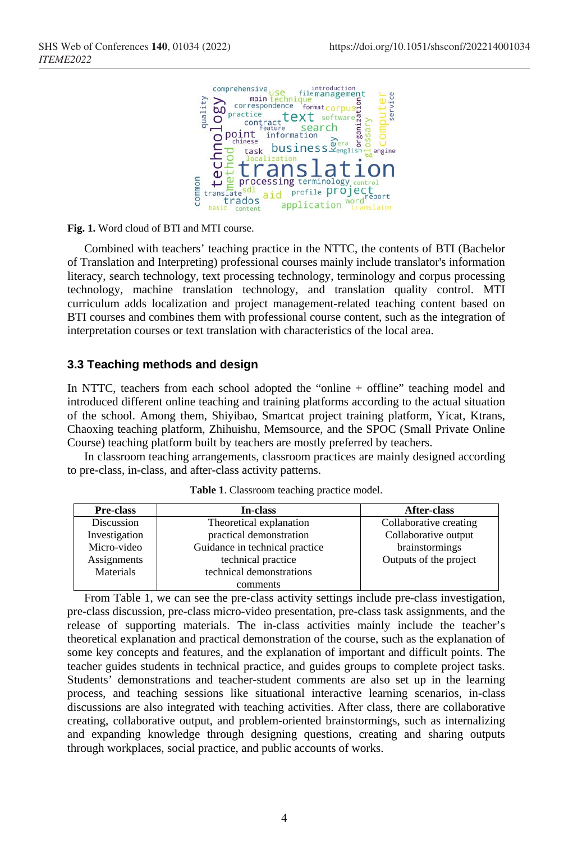

**Fig. 1.** Word cloud of BTI and MTI course.

Combined with teachers' teaching practice in the NTTC, the contents of BTI (Bachelor of Translation and Interpreting) professional courses mainly include translator's information literacy, search technology, text processing technology, terminology and corpus processing technology, machine translation technology, and translation quality control. MTI curriculum adds localization and project management-related teaching content based on BTI courses and combines them with professional course content, such as the integration of interpretation courses or text translation with characteristics of the local area.

#### **3.3 Teaching methods and design**

In NTTC, teachers from each school adopted the "online + offline" teaching model and introduced different online teaching and training platforms according to the actual situation of the school. Among them, Shiyibao, Smartcat project training platform, Yicat, Ktrans, Chaoxing teaching platform, Zhihuishu, Memsource, and the SPOC (Small Private Online Course) teaching platform built by teachers are mostly preferred by teachers.

In classroom teaching arrangements, classroom practices are mainly designed according to pre-class, in-class, and after-class activity patterns.

| Pre-class     | In-class                       | After-class            |
|---------------|--------------------------------|------------------------|
| Discussion    | Theoretical explanation        | Collaborative creating |
| Investigation | practical demonstration        | Collaborative output   |
| Micro-video   | Guidance in technical practice | brainstormings         |
| Assignments   | technical practice             | Outputs of the project |
| Materials     | technical demonstrations       |                        |
|               | comments                       |                        |

**Table 1**. Classroom teaching practice model.

From Table 1, we can see the pre-class activity settings include pre-class investigation, pre-class discussion, pre-class micro-video presentation, pre-class task assignments, and the release of supporting materials. The in-class activities mainly include the teacher's theoretical explanation and practical demonstration of the course, such as the explanation of some key concepts and features, and the explanation of important and difficult points. The teacher guides students in technical practice, and guides groups to complete project tasks. Students' demonstrations and teacher-student comments are also set up in the learning process, and teaching sessions like situational interactive learning scenarios, in-class discussions are also integrated with teaching activities. After class, there are collaborative creating, collaborative output, and problem-oriented brainstormings, such as internalizing and expanding knowledge through designing questions, creating and sharing outputs through workplaces, social practice, and public accounts of works.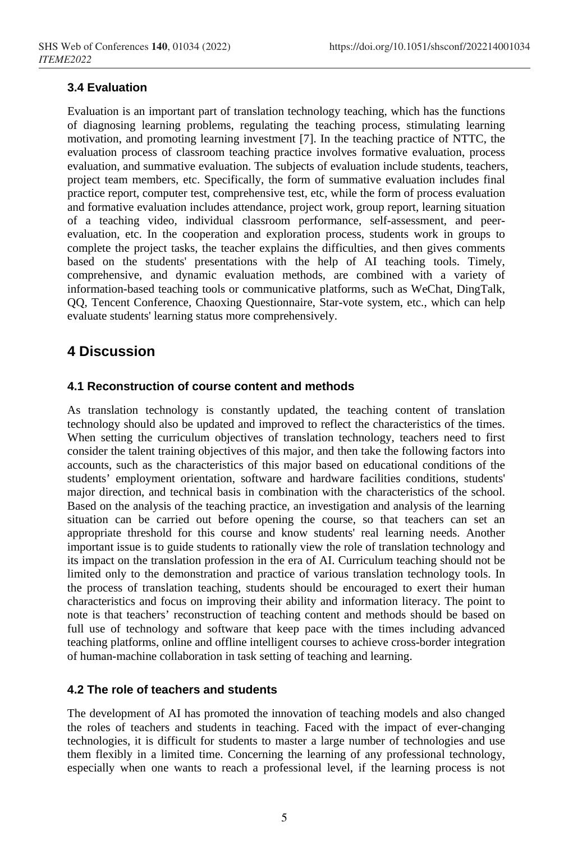# **3.4 Evaluation**

Evaluation is an important part of translation technology teaching, which has the functions of diagnosing learning problems, regulating the teaching process, stimulating learning motivation, and promoting learning investment [7]. In the teaching practice of NTTC, the evaluation process of classroom teaching practice involves formative evaluation, process evaluation, and summative evaluation. The subjects of evaluation include students, teachers, project team members, etc. Specifically, the form of summative evaluation includes final practice report, computer test, comprehensive test, etc, while the form of process evaluation and formative evaluation includes attendance, project work, group report, learning situation of a teaching video, individual classroom performance, self-assessment, and peerevaluation, etc. In the cooperation and exploration process, students work in groups to complete the project tasks, the teacher explains the difficulties, and then gives comments based on the students' presentations with the help of AI teaching tools. Timely, comprehensive, and dynamic evaluation methods, are combined with a variety of information-based teaching tools or communicative platforms, such as WeChat, DingTalk, QQ, Tencent Conference, Chaoxing Questionnaire, Star-vote system, etc., which can help evaluate students' learning status more comprehensively.

# **4 Discussion**

## **4.1 Reconstruction of course content and methods**

As translation technology is constantly updated, the teaching content of translation technology should also be updated and improved to reflect the characteristics of the times. When setting the curriculum objectives of translation technology, teachers need to first consider the talent training objectives of this major, and then take the following factors into accounts, such as the characteristics of this major based on educational conditions of the students' employment orientation, software and hardware facilities conditions, students' major direction, and technical basis in combination with the characteristics of the school. Based on the analysis of the teaching practice, an investigation and analysis of the learning situation can be carried out before opening the course, so that teachers can set an appropriate threshold for this course and know students' real learning needs. Another important issue is to guide students to rationally view the role of translation technology and its impact on the translation profession in the era of AI. Curriculum teaching should not be limited only to the demonstration and practice of various translation technology tools. In the process of translation teaching, students should be encouraged to exert their human characteristics and focus on improving their ability and information literacy. The point to note is that teachers' reconstruction of teaching content and methods should be based on full use of technology and software that keep pace with the times including advanced teaching platforms, online and offline intelligent courses to achieve cross-border integration of human-machine collaboration in task setting of teaching and learning.

## **4.2 The role of teachers and students**

The development of AI has promoted the innovation of teaching models and also changed the roles of teachers and students in teaching. Faced with the impact of ever-changing technologies, it is difficult for students to master a large number of technologies and use them flexibly in a limited time. Concerning the learning of any professional technology, especially when one wants to reach a professional level, if the learning process is not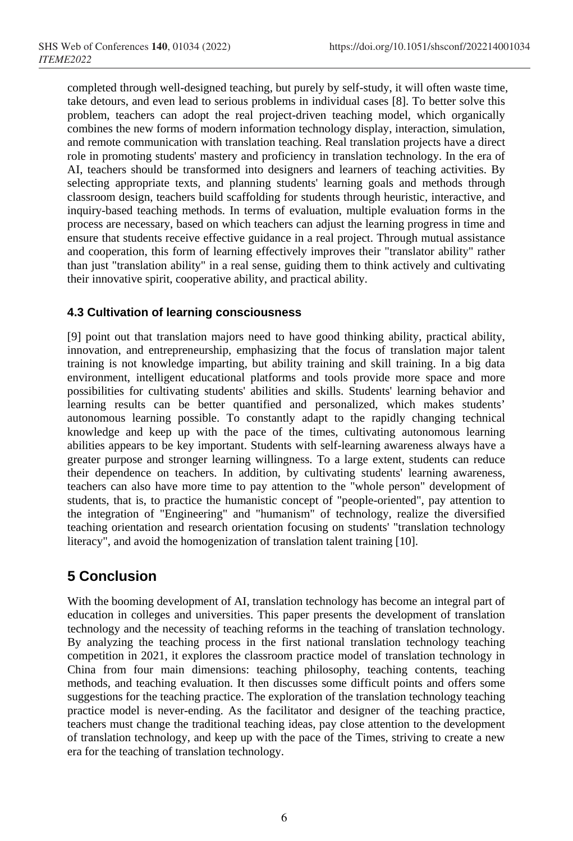completed through well-designed teaching, but purely by self-study, it will often waste time, take detours, and even lead to serious problems in individual cases [8]. To better solve this problem, teachers can adopt the real project-driven teaching model, which organically combines the new forms of modern information technology display, interaction, simulation, and remote communication with translation teaching. Real translation projects have a direct role in promoting students' mastery and proficiency in translation technology. In the era of AI, teachers should be transformed into designers and learners of teaching activities. By selecting appropriate texts, and planning students' learning goals and methods through classroom design, teachers build scaffolding for students through heuristic, interactive, and inquiry-based teaching methods. In terms of evaluation, multiple evaluation forms in the process are necessary, based on which teachers can adjust the learning progress in time and ensure that students receive effective guidance in a real project. Through mutual assistance and cooperation, this form of learning effectively improves their "translator ability" rather than just "translation ability" in a real sense, guiding them to think actively and cultivating their innovative spirit, cooperative ability, and practical ability.

## **4.3 Cultivation of learning consciousness**

[9] point out that translation majors need to have good thinking ability, practical ability, innovation, and entrepreneurship, emphasizing that the focus of translation major talent training is not knowledge imparting, but ability training and skill training. In a big data environment, intelligent educational platforms and tools provide more space and more possibilities for cultivating students' abilities and skills. Students' learning behavior and learning results can be better quantified and personalized, which makes students' autonomous learning possible. To constantly adapt to the rapidly changing technical knowledge and keep up with the pace of the times, cultivating autonomous learning abilities appears to be key important. Students with self-learning awareness always have a greater purpose and stronger learning willingness. To a large extent, students can reduce their dependence on teachers. In addition, by cultivating students' learning awareness, teachers can also have more time to pay attention to the "whole person" development of students, that is, to practice the humanistic concept of "people-oriented", pay attention to the integration of "Engineering" and "humanism" of technology, realize the diversified teaching orientation and research orientation focusing on students' "translation technology literacy", and avoid the homogenization of translation talent training [10].

# **5 Conclusion**

With the booming development of AI, translation technology has become an integral part of education in colleges and universities. This paper presents the development of translation technology and the necessity of teaching reforms in the teaching of translation technology. By analyzing the teaching process in the first national translation technology teaching competition in 2021, it explores the classroom practice model of translation technology in China from four main dimensions: teaching philosophy, teaching contents, teaching methods, and teaching evaluation. It then discusses some difficult points and offers some suggestions for the teaching practice. The exploration of the translation technology teaching practice model is never-ending. As the facilitator and designer of the teaching practice, teachers must change the traditional teaching ideas, pay close attention to the development of translation technology, and keep up with the pace of the Times, striving to create a new era for the teaching of translation technology.